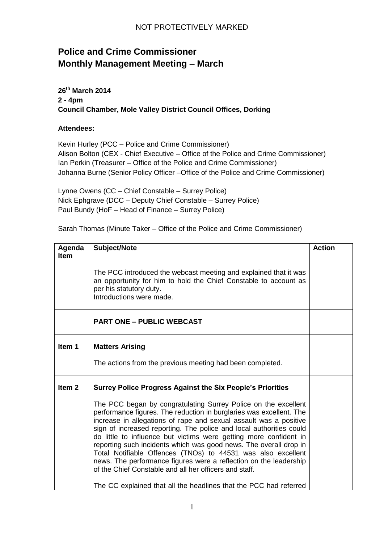## **Police and Crime Commissioner Monthly Management Meeting – March**

**26th March 2014 2 - 4pm Council Chamber, Mole Valley District Council Offices, Dorking**

## **Attendees:**

Kevin Hurley (PCC – Police and Crime Commissioner) Alison Bolton (CEX - Chief Executive – Office of the Police and Crime Commissioner) Ian Perkin (Treasurer – Office of the Police and Crime Commissioner) Johanna Burne (Senior Policy Officer –Office of the Police and Crime Commissioner)

Lynne Owens (CC – Chief Constable – Surrey Police) Nick Ephgrave (DCC – Deputy Chief Constable – Surrey Police) Paul Bundy (HoF – Head of Finance – Surrey Police)

Sarah Thomas (Minute Taker – Office of the Police and Crime Commissioner)

| Agenda<br><b>Item</b> | Subject/Note                                                                                                                                                                                                                                                                                                                                                                                                                                                                                                                                                                                                                                                                                                                                                         | <b>Action</b> |
|-----------------------|----------------------------------------------------------------------------------------------------------------------------------------------------------------------------------------------------------------------------------------------------------------------------------------------------------------------------------------------------------------------------------------------------------------------------------------------------------------------------------------------------------------------------------------------------------------------------------------------------------------------------------------------------------------------------------------------------------------------------------------------------------------------|---------------|
|                       | The PCC introduced the webcast meeting and explained that it was<br>an opportunity for him to hold the Chief Constable to account as<br>per his statutory duty.<br>Introductions were made.                                                                                                                                                                                                                                                                                                                                                                                                                                                                                                                                                                          |               |
|                       | <b>PART ONE - PUBLIC WEBCAST</b>                                                                                                                                                                                                                                                                                                                                                                                                                                                                                                                                                                                                                                                                                                                                     |               |
| Item 1                | <b>Matters Arising</b><br>The actions from the previous meeting had been completed.                                                                                                                                                                                                                                                                                                                                                                                                                                                                                                                                                                                                                                                                                  |               |
| Item <sub>2</sub>     | <b>Surrey Police Progress Against the Six People's Priorities</b><br>The PCC began by congratulating Surrey Police on the excellent<br>performance figures. The reduction in burglaries was excellent. The<br>increase in allegations of rape and sexual assault was a positive<br>sign of increased reporting. The police and local authorities could<br>do little to influence but victims were getting more confident in<br>reporting such incidents which was good news. The overall drop in<br>Total Notifiable Offences (TNOs) to 44531 was also excellent<br>news. The performance figures were a reflection on the leadership<br>of the Chief Constable and all her officers and staff.<br>The CC explained that all the headlines that the PCC had referred |               |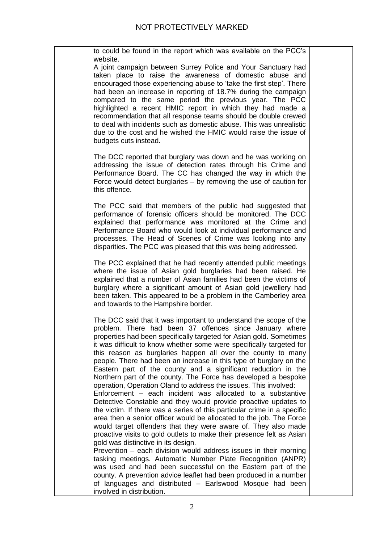| to could be found in the report which was available on the PCC's                                                                                                                                                                                                                                                                                                                                                                                                                                                                                                                                                                                                                                                                                                                                                                                                                                                                                                                                                                                                                                                                                                                                                                                                                                                                                                      |  |
|-----------------------------------------------------------------------------------------------------------------------------------------------------------------------------------------------------------------------------------------------------------------------------------------------------------------------------------------------------------------------------------------------------------------------------------------------------------------------------------------------------------------------------------------------------------------------------------------------------------------------------------------------------------------------------------------------------------------------------------------------------------------------------------------------------------------------------------------------------------------------------------------------------------------------------------------------------------------------------------------------------------------------------------------------------------------------------------------------------------------------------------------------------------------------------------------------------------------------------------------------------------------------------------------------------------------------------------------------------------------------|--|
| website.<br>A joint campaign between Surrey Police and Your Sanctuary had<br>taken place to raise the awareness of domestic abuse and<br>encouraged those experiencing abuse to 'take the first step'. There<br>had been an increase in reporting of 18.7% during the campaign<br>compared to the same period the previous year. The PCC<br>highlighted a recent HMIC report in which they had made a<br>recommendation that all response teams should be double crewed<br>to deal with incidents such as domestic abuse. This was unrealistic<br>due to the cost and he wished the HMIC would raise the issue of<br>budgets cuts instead.                                                                                                                                                                                                                                                                                                                                                                                                                                                                                                                                                                                                                                                                                                                            |  |
| The DCC reported that burglary was down and he was working on<br>addressing the issue of detection rates through his Crime and<br>Performance Board. The CC has changed the way in which the<br>Force would detect burglaries – by removing the use of caution for<br>this offence.                                                                                                                                                                                                                                                                                                                                                                                                                                                                                                                                                                                                                                                                                                                                                                                                                                                                                                                                                                                                                                                                                   |  |
| The PCC said that members of the public had suggested that<br>performance of forensic officers should be monitored. The DCC<br>explained that performance was monitored at the Crime and<br>Performance Board who would look at individual performance and<br>processes. The Head of Scenes of Crime was looking into any<br>disparities. The PCC was pleased that this was being addressed.                                                                                                                                                                                                                                                                                                                                                                                                                                                                                                                                                                                                                                                                                                                                                                                                                                                                                                                                                                          |  |
| The PCC explained that he had recently attended public meetings<br>where the issue of Asian gold burglaries had been raised. He<br>explained that a number of Asian families had been the victims of<br>burglary where a significant amount of Asian gold jewellery had<br>been taken. This appeared to be a problem in the Camberley area<br>and towards to the Hampshire border.                                                                                                                                                                                                                                                                                                                                                                                                                                                                                                                                                                                                                                                                                                                                                                                                                                                                                                                                                                                    |  |
| The DCC said that it was important to understand the scope of the<br>problem. There had been 37 offences since January where<br>properties had been specifically targeted for Asian gold. Sometimes<br>it was difficult to know whether some were specifically targeted for<br>this reason as burglaries happen all over the county to many<br>people. There had been an increase in this type of burglary on the<br>Eastern part of the county and a significant reduction in the<br>Northern part of the county. The Force has developed a bespoke<br>operation, Operation Oland to address the issues. This involved:<br>Enforcement – each incident was allocated to a substantive<br>Detective Constable and they would provide proactive updates to<br>the victim. If there was a series of this particular crime in a specific<br>area then a senior officer would be allocated to the job. The Force<br>would target offenders that they were aware of. They also made<br>proactive visits to gold outlets to make their presence felt as Asian<br>gold was distinctive in its design.<br>Prevention – each division would address issues in their morning<br>tasking meetings. Automatic Number Plate Recognition (ANPR)<br>was used and had been successful on the Eastern part of the<br>county. A prevention advice leaflet had been produced in a number |  |
| of languages and distributed - Earlswood Mosque had been<br>involved in distribution.                                                                                                                                                                                                                                                                                                                                                                                                                                                                                                                                                                                                                                                                                                                                                                                                                                                                                                                                                                                                                                                                                                                                                                                                                                                                                 |  |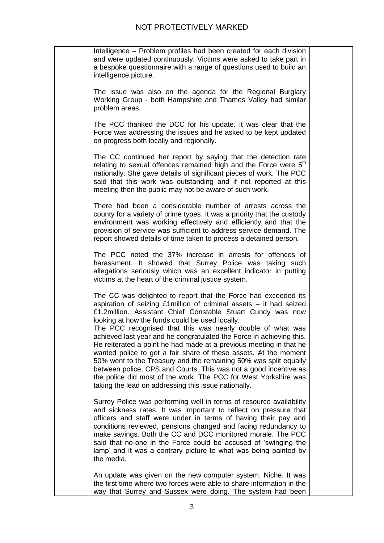| Intelligence - Problem profiles had been created for each division<br>and were updated continuously. Victims were asked to take part in<br>a bespoke questionnaire with a range of questions used to build an<br>intelligence picture.                                                                                                                                                                                                                                                                                                                                                                                                                                                                                                                                                                    |  |
|-----------------------------------------------------------------------------------------------------------------------------------------------------------------------------------------------------------------------------------------------------------------------------------------------------------------------------------------------------------------------------------------------------------------------------------------------------------------------------------------------------------------------------------------------------------------------------------------------------------------------------------------------------------------------------------------------------------------------------------------------------------------------------------------------------------|--|
| The issue was also on the agenda for the Regional Burglary<br>Working Group - both Hampshire and Thames Valley had similar<br>problem areas.                                                                                                                                                                                                                                                                                                                                                                                                                                                                                                                                                                                                                                                              |  |
| The PCC thanked the DCC for his update. It was clear that the<br>Force was addressing the issues and he asked to be kept updated<br>on progress both locally and regionally.                                                                                                                                                                                                                                                                                                                                                                                                                                                                                                                                                                                                                              |  |
| The CC continued her report by saying that the detection rate<br>relating to sexual offences remained high and the Force were 5 <sup>th</sup><br>nationally. She gave details of significant pieces of work. The PCC<br>said that this work was outstanding and if not reported at this<br>meeting then the public may not be aware of such work.                                                                                                                                                                                                                                                                                                                                                                                                                                                         |  |
| There had been a considerable number of arrests across the<br>county for a variety of crime types. It was a priority that the custody<br>environment was working effectively and efficiently and that the<br>provision of service was sufficient to address service demand. The<br>report showed details of time taken to process a detained person.                                                                                                                                                                                                                                                                                                                                                                                                                                                      |  |
| The PCC noted the 37% increase in arrests for offences of<br>harassment. It showed that Surrey Police was taking such<br>allegations seriously which was an excellent indicator in putting<br>victims at the heart of the criminal justice system.                                                                                                                                                                                                                                                                                                                                                                                                                                                                                                                                                        |  |
| The CC was delighted to report that the Force had exceeded its<br>aspiration of seizing £1million of criminal assets - it had seized<br>£1.2million. Assistant Chief Constable Stuart Cundy was now<br>looking at how the funds could be used locally.<br>The PCC recognised that this was nearly double of what was<br>achieved last year and he congratulated the Force in achieving this.<br>He reiterated a point he had made at a previous meeting in that he<br>wanted police to get a fair share of these assets. At the moment<br>50% went to the Treasury and the remaining 50% was split equally<br>between police, CPS and Courts. This was not a good incentive as<br>the police did most of the work. The PCC for West Yorkshire was<br>taking the lead on addressing this issue nationally. |  |
| Surrey Police was performing well in terms of resource availability<br>and sickness rates. It was important to reflect on pressure that<br>officers and staff were under in terms of having their pay and<br>conditions reviewed, pensions changed and facing redundancy to<br>make savings. Both the CC and DCC monitored morale. The PCC<br>said that no-one in the Force could be accused of 'swinging the<br>lamp' and it was a contrary picture to what was being painted by<br>the media.                                                                                                                                                                                                                                                                                                           |  |
| An update was given on the new computer system, Niche. It was<br>the first time where two forces were able to share information in the<br>way that Surrey and Sussex were doing. The system had been                                                                                                                                                                                                                                                                                                                                                                                                                                                                                                                                                                                                      |  |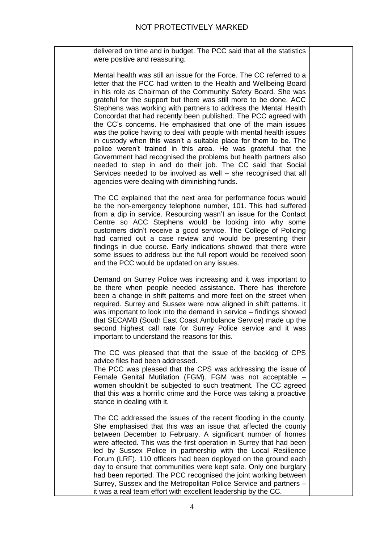delivered on time and in budget. The PCC said that all the statistics were positive and reassuring.

Mental health was still an issue for the Force. The CC referred to a letter that the PCC had written to the Health and Wellbeing Board in his role as Chairman of the Community Safety Board. She was grateful for the support but there was still more to be done. ACC Stephens was working with partners to address the Mental Health Concordat that had recently been published. The PCC agreed with the CC's concerns. He emphasised that one of the main issues was the police having to deal with people with mental health issues in custody when this wasn't a suitable place for them to be. The police weren't trained in this area. He was grateful that the Government had recognised the problems but health partners also needed to step in and do their job. The CC said that Social Services needed to be involved as well – she recognised that all agencies were dealing with diminishing funds.

The CC explained that the next area for performance focus would be the non-emergency telephone number, 101. This had suffered from a dip in service. Resourcing wasn't an issue for the Contact Centre so ACC Stephens would be looking into why some customers didn't receive a good service. The College of Policing had carried out a case review and would be presenting their findings in due course. Early indications showed that there were some issues to address but the full report would be received soon and the PCC would be updated on any issues.

Demand on Surrey Police was increasing and it was important to be there when people needed assistance. There has therefore been a change in shift patterns and more feet on the street when required. Surrey and Sussex were now aligned in shift patterns. It was important to look into the demand in service – findings showed that SECAMB (South East Coast Ambulance Service) made up the second highest call rate for Surrey Police service and it was important to understand the reasons for this.

The CC was pleased that that the issue of the backlog of CPS advice files had been addressed.

The PCC was pleased that the CPS was addressing the issue of Female Genital Mutilation (FGM). FGM was not acceptable – women shouldn't be subjected to such treatment. The CC agreed that this was a horrific crime and the Force was taking a proactive stance in dealing with it.

The CC addressed the issues of the recent flooding in the county. She emphasised that this was an issue that affected the county between December to February. A significant number of homes were affected. This was the first operation in Surrey that had been led by Sussex Police in partnership with the Local Resilience Forum (LRF). 110 officers had been deployed on the ground each day to ensure that communities were kept safe. Only one burglary had been reported. The PCC recognised the joint working between Surrey, Sussex and the Metropolitan Police Service and partners – it was a real team effort with excellent leadership by the CC.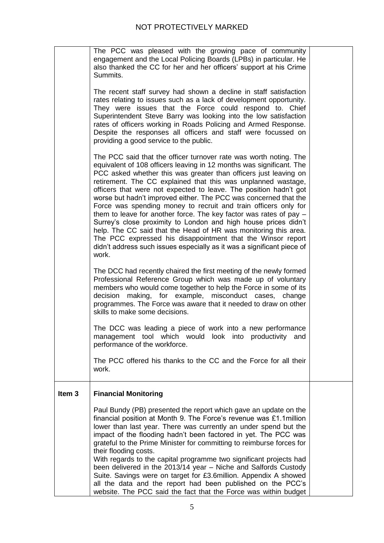|                   | The PCC was pleased with the growing pace of community<br>engagement and the Local Policing Boards (LPBs) in particular. He<br>also thanked the CC for her and her officers' support at his Crime<br>Summits.                                                                                                                                                                                                                                                                                                                                                                                                                                                                                                                                                                                                                                            |  |
|-------------------|----------------------------------------------------------------------------------------------------------------------------------------------------------------------------------------------------------------------------------------------------------------------------------------------------------------------------------------------------------------------------------------------------------------------------------------------------------------------------------------------------------------------------------------------------------------------------------------------------------------------------------------------------------------------------------------------------------------------------------------------------------------------------------------------------------------------------------------------------------|--|
|                   | The recent staff survey had shown a decline in staff satisfaction<br>rates relating to issues such as a lack of development opportunity.<br>They were issues that the Force could respond to. Chief<br>Superintendent Steve Barry was looking into the low satisfaction<br>rates of officers working in Roads Policing and Armed Response.<br>Despite the responses all officers and staff were focussed on<br>providing a good service to the public.                                                                                                                                                                                                                                                                                                                                                                                                   |  |
|                   | The PCC said that the officer turnover rate was worth noting. The<br>equivalent of 108 officers leaving in 12 months was significant. The<br>PCC asked whether this was greater than officers just leaving on<br>retirement. The CC explained that this was unplanned wastage,<br>officers that were not expected to leave. The position hadn't got<br>worse but hadn't improved either. The PCC was concerned that the<br>Force was spending money to recruit and train officers only for<br>them to leave for another force. The key factor was rates of pay -<br>Surrey's close proximity to London and high house prices didn't<br>help. The CC said that the Head of HR was monitoring this area.<br>The PCC expressed his disappointment that the Winsor report<br>didn't address such issues especially as it was a significant piece of<br>work. |  |
|                   | The DCC had recently chaired the first meeting of the newly formed<br>Professional Reference Group which was made up of voluntary<br>members who would come together to help the Force in some of its<br>decision making, for example, misconduct cases, change<br>programmes. The Force was aware that it needed to draw on other<br>skills to make some decisions.                                                                                                                                                                                                                                                                                                                                                                                                                                                                                     |  |
|                   | The DCC was leading a piece of work into a new performance<br>management tool which would look into productivity<br>and<br>performance of the workforce.                                                                                                                                                                                                                                                                                                                                                                                                                                                                                                                                                                                                                                                                                                 |  |
|                   | The PCC offered his thanks to the CC and the Force for all their<br>work.                                                                                                                                                                                                                                                                                                                                                                                                                                                                                                                                                                                                                                                                                                                                                                                |  |
| Item <sub>3</sub> | <b>Financial Monitoring</b>                                                                                                                                                                                                                                                                                                                                                                                                                                                                                                                                                                                                                                                                                                                                                                                                                              |  |
|                   | Paul Bundy (PB) presented the report which gave an update on the<br>financial position at Month 9. The Force's revenue was £1.1 million<br>lower than last year. There was currently an under spend but the<br>impact of the flooding hadn't been factored in yet. The PCC was<br>grateful to the Prime Minister for committing to reimburse forces for<br>their flooding costs.<br>With regards to the capital programme two significant projects had<br>been delivered in the 2013/14 year - Niche and Salfords Custody<br>Suite. Savings were on target for £3.6million. Appendix A showed<br>all the data and the report had been published on the PCC's<br>website. The PCC said the fact that the Force was within budget                                                                                                                          |  |